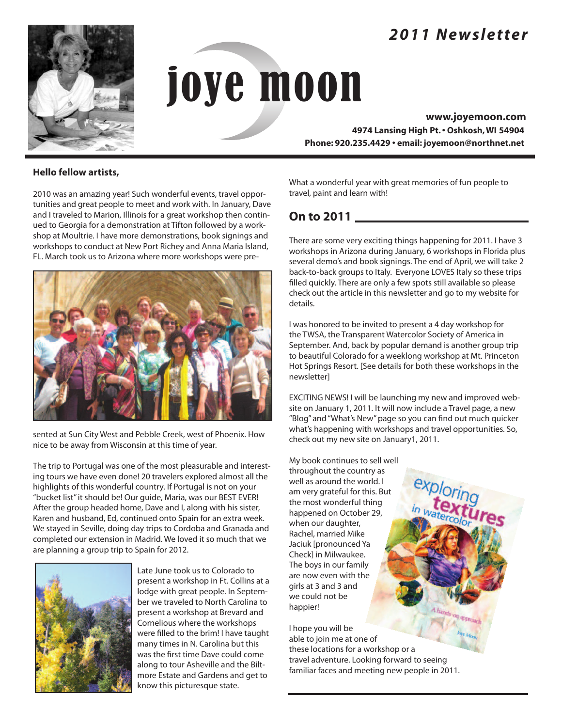## *2011 Newsletter*



# joye moon

**www.joyemoon.com 4974 Lansing High Pt.• Oshkosh,WI 54904 Phone: 920.235.4429 • email: joyemoon@northnet.net**

#### **Hello fellow artists,**

2010 was an amazing year! Such wonderful events, travel opportunities and great people to meet and work with. In January, Dave and I traveled to Marion, Illinois for a great workshop then continued to Georgia for a demonstration at Tifton followed by a workshop at Moultrie. I have more demonstrations, book signings and workshops to conduct at New Port Richey and Anna Maria Island, FL. March took us to Arizona where more workshops were pre-



sented at Sun City West and Pebble Creek, west of Phoenix. How nice to be away from Wisconsin at this time of year.

The trip to Portugal was one of the most pleasurable and interesting tours we have even done! 20 travelers explored almost all the highlights of this wonderful country. If Portugal is not on your "bucket list"it should be! Our guide, Maria, was our BEST EVER! After the group headed home, Dave and I, along with his sister, Karen and husband, Ed, continued onto Spain for an extra week. We stayed in Seville, doing day trips to Cordoba and Granada and completed our extension in Madrid. We loved it so much that we are planning a group trip to Spain for 2012.



Late June took us to Colorado to present a workshop in Ft. Collins at a lodge with great people. In September we traveled to North Carolina to present a workshop at Brevard and Cornelious where the workshops were filled to the brim! I have taught many times in N. Carolina but this was the first time Dave could come along to tour Asheville and the Biltmore Estate and Gardens and get to know this picturesque state.

What a wonderful year with great memories of fun people to travel, paint and learn with!

### **On to 2011**

There are some very exciting things happening for 2011. I have 3 workshops in Arizona during January, 6 workshops in Florida plus several demo's and book signings. The end of April, we will take 2 back-to-back groups to Italy. Everyone LOVES Italy so these trips filled quickly. There are only a few spots still available so please check out the article in this newsletter and go to my website for details.

I was honored to be invited to present a 4 day workshop for the TWSA, the Transparent Watercolor Society of America in September. And, back by popular demand is another group trip to beautiful Colorado for a weeklong workshop at Mt. Princeton Hot Springs Resort. [See details for both these workshops in the newsletter]

EXCITING NEWS! I will be launching my new and improved website on January 1, 2011. It will now include a Travel page, a new "Blog" and"What's New"page so you can find out much quicker what's happening with workshops and travel opportunities. So, check out my new site on January1, 2011.

My book continues to sell well throughout the country as well as around the world. I am very grateful for this. But the most wonderful thing happened on October 29, when our daughter, Rachel, married Mike Jaciuk [pronounced Ya Check] in Milwaukee. The boys in our family are now even with the girls at 3 and 3 and we could not be happier!

I hope you will be able to join me at one of these locations for a workshop or a travel adventure. Looking forward to seeing familiar faces and meeting new people in 2011.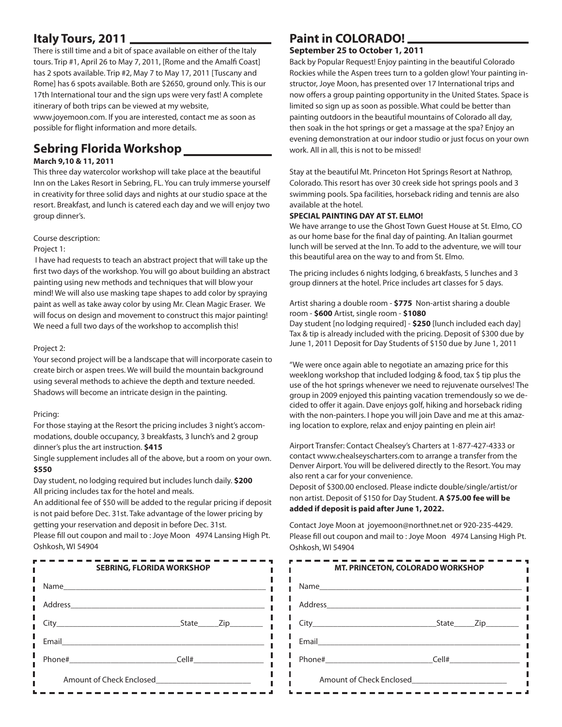## **Italy Tours, 2011**

There is still time and a bit of space available on either of the Italy tours. Trip #1, April 26 to May 7, 2011, [Rome and the Amalfi Coast] has 2 spots available. Trip #2, May 7 to May 17, 2011 [Tuscany and Rome] has 6 spots available. Both are \$2650, ground only. This is our 17th International tour and the sign ups were very fast! A complete itinerary of both trips can be viewed at my website,

www.joyemoon.com. If you are interested, contact me as soon as possible for flight information and more details.

## **Sebring Florida Workshop**

#### **March 9,10 & 11, 2011**

This three day watercolor workshop will take place at the beautiful Inn on the Lakes Resort in Sebring, FL. You can truly immerse yourself in creativity for three solid days and nights at our studio space at the resort. Breakfast, and lunch is catered each day and we will enjoy two group dinner's.

Course description:

Project 1:

I have had requests to teach an abstract project that will take up the first two days of the workshop. You will go about building an abstract painting using new methods and techniques that will blow your mind! We will also use masking tape shapes to add color by spraying paint as well as take away color by using Mr. Clean Magic Eraser. We will focus on design and movement to construct this major painting! We need a full two days of the workshop to accomplish this!

#### Project 2:

Your second project will be a landscape that will incorporate casein to create birch or aspen trees. We will build the mountain background using several methods to achieve the depth and texture needed. Shadows will become an intricate design in the painting.

#### Pricing:

For those staying at the Resort the pricing includes 3 night's accommodations, double occupancy, 3 breakfasts, 3 lunch's and 2 group dinner's plus the art instruction. **\$415**

Single supplement includes all of the above, but a room on your own. **\$550**

Day student, no lodging required but includes lunch daily. **\$200** All pricing includes tax for the hotel and meals.

An additional fee of \$50 will be added to the regular pricing if deposit is not paid before Dec. 31st. Take advantage of the lower pricing by getting your reservation and deposit in before Dec. 31st.

Please fill out coupon and mail to : Joye Moon 4974 Lansing High Pt. Oshkosh, WI 54904

П

 $\blacksquare$ 

ı Π

I,

Ľ

п П

| <b>SEBRING, FLORIDA WORKSHOP</b> |           |  |
|----------------------------------|-----------|--|
| Name_______                      |           |  |
| I<br>Address______               |           |  |
| $City$ <sub>________</sub>       | State Zip |  |
| Email                            |           |  |
|                                  | Cell#     |  |
| Amount of Check Enclosed         |           |  |

## **Paint in COLORADO!**

#### **September 25 to October 1, 2011**

Back by Popular Request! Enjoy painting in the beautiful Colorado Rockies while the Aspen trees turn to a golden glow! Your painting instructor, Joye Moon, has presented over 17 International trips and now offers a group painting opportunity in the United States. Space is limited so sign up as soon as possible. What could be better than painting outdoors in the beautiful mountains of Colorado all day, then soak in the hot springs or get a massage at the spa? Enjoy an evening demonstration at our indoor studio or just focus on your own work. All in all, this is not to be missed!

Stay at the beautiful Mt. Princeton Hot Springs Resort at Nathrop, Colorado. This resort has over 30 creek side hot springs pools and 3 swimming pools. Spa facilities, horseback riding and tennis are also available at the hotel.

#### **SPECIAL PAINTING DAY AT ST. ELMO!**

We have arrange to use the Ghost Town Guest House at St. Elmo, CO as our home base for the final day of painting. An Italian gourmet lunch will be served at the Inn. To add to the adventure, we will tour this beautiful area on the way to and from St. Elmo.

The pricing includes 6 nights lodging, 6 breakfasts, 5 lunches and 3 group dinners at the hotel. Price includes art classes for 5 days.

Artist sharing a double room - **\$775** Non-artist sharing a double room - **\$600** Artist, single room - **\$1080** Day student [no lodging required] - **\$250** [lunch included each day] Tax & tip is already included with the pricing. Deposit of \$300 due by June 1, 2011 Deposit for Day Students of \$150 due by June 1, 2011

"We were once again able to negotiate an amazing price for this weeklong workshop that included lodging & food, tax \$ tip plus the use of the hot springs whenever we need to rejuvenate ourselves! The group in 2009 enjoyed this painting vacation tremendously so we decided to offer it again. Dave enjoys golf, hiking and horseback riding with the non-painters. I hope you will join Dave and me at this amazing location to explore, relax and enjoy painting en plein air!

Airport Transfer: Contact Chealsey's Charters at 1-877-427-4333 or contact www.chealseyscharters.com to arrange a transfer from the Denver Airport. You will be delivered directly to the Resort. You may also rent a car for your convenience.

Deposit of \$300.00 enclosed. Please indicte double/single/artist/or non artist. Deposit of \$150 for Day Student. **A \$75.00 fee will be added if deposit is paid after June 1, 2022.**

Contact Joye Moon at joyemoon@northnet.net or 920-235-4429. Please fill out coupon and mail to : Joye Moon 4974 Lansing High Pt. Oshkosh, WI 54904

| <b>MT. PRINCETON, COLORADO WORKSHOP</b> |           |  |
|-----------------------------------------|-----------|--|
| Name                                    |           |  |
| Address_______                          |           |  |
|                                         | State Zip |  |
| Email                                   |           |  |
|                                         | Cell#     |  |
| Amount of Check Enclosed                |           |  |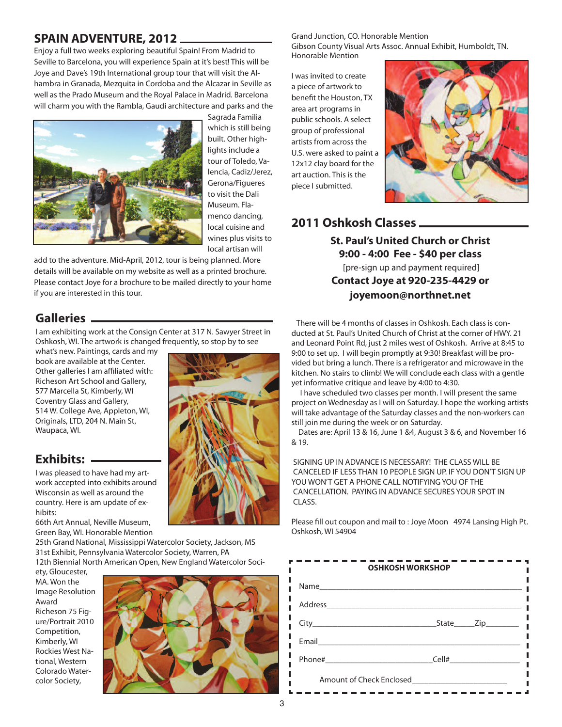## **SPAIN ADVENTURE, 2012**

Enjoy a full two weeks exploring beautiful Spain! From Madrid to Seville to Barcelona, you will experience Spain at it's best! This will be Joye and Dave's 19th International group tour that will visit the Alhambra in Granada, Mezquita in Cordoba and the Alcazar in Seville as well as the Prado Museum and the Royal Palace in Madrid. Barcelona will charm you with the Rambla, Gaudi architecture and parks and the



Sagrada Familia which is still being built. Other highlights include a tour of Toledo, Valencia, Cadiz/Jerez, Gerona/Figueres to visit the Dali Museum. Flamenco dancing, local cuisine and wines plus visits to local artisan will

add to the adventure. Mid-April, 2012, tour is being planned. More details will be available on my website as well as a printed brochure. Please contact Joye for a brochure to be mailed directly to your home if you are interested in this tour.

## **Galleries**

I am exhibiting work at the Consign Center at 317 N. Sawyer Street in Oshkosh, WI. The artwork is changed frequently, so stop by to see

what's new. Paintings, cards and my book are available at the Center. Other galleries I am affiliated with: Richeson Art School and Gallery, 577 Marcella St, Kimberly, WI Coventry Glass and Gallery, 514 W. College Ave, Appleton, WI, Originals, LTD, 204 N. Main St, Waupaca, WI.

## **Exhibits:**

I was pleased to have had my artwork accepted into exhibits around Wisconsin as well as around the country. Here is am update of exhibits:

66th Art Annual, Neville Museum, Green Bay, WI. Honorable Mention

25th Grand National, Mississippi Watercolor Society, Jackson, MS 31st Exhibit, Pennsylvania Watercolor Society, Warren, PA 12th Biennial North American Open, New England Watercolor Soci-

ety, Gloucester, MA. Won the Image Resolution Award Richeson 75 Figure/Portrait 2010 Competition, Kimberly, WI Rockies West National, Western Colorado Watercolor Society,



Grand Junction, CO. Honorable Mention Gibson County Visual Arts Assoc. Annual Exhibit, Humboldt, TN. Honorable Mention

I was invited to create a piece of artwork to benefit the Houston, TX area art programs in public schools. A select group of professional artists from across the U.S. were asked to paint a 12x12 clay board for the art auction. This is the piece I submitted.



**2011 Oshkosh Classes St. Paul's United Church or Christ 9:00 - 4:00 Fee - \$40 per class** [pre-sign up and payment required] **Contact Joye at 920-235-4429 or**

**joyemoon@northnet.net**

There will be 4 months of classes in Oshkosh. Each class is conducted at St. Paul's United Church of Christ at the corner of HWY. 21 and Leonard Point Rd, just 2 miles west of Oshkosh. Arrive at 8:45 to 9:00 to set up. I will begin promptly at 9:30! Breakfast will be provided but bring a lunch. There is a refrigerator and microwave in the kitchen. No stairs to climb! We will conclude each class with a gentle yet informative critique and leave by 4:00 to 4:30.

I have scheduled two classes per month. I will present the same project on Wednesday as I will on Saturday. I hope the working artists will take advantage of the Saturday classes and the non-workers can still join me during the week or on Saturday.

Dates are: April 13 & 16, June 1 &4, August 3 & 6, and November 16 & 19.

SIGNING UP IN ADVANCE IS NECESSARY! THE CLASS WILL BE CANCELED IF LESS THAN 10 PEOPLE SIGN UP. IF YOU DON'T SIGN UP YOU WON'T GET A PHONE CALL NOTIFYING YOU OF THE CANCELLATION. PAYING IN ADVANCE SECURES YOUR SPOT IN CLASS.

Please fill out coupon and mail to : Joye Moon 4974 Lansing High Pt. Oshkosh, WI 54904

| <b>OSHKOSH WORKSHOP</b>  |                             |  |
|--------------------------|-----------------------------|--|
| Name___________          |                             |  |
|                          |                             |  |
|                          | _State_______Zip___________ |  |
|                          |                             |  |
|                          | Cell#                       |  |
| Amount of Check Enclosed |                             |  |